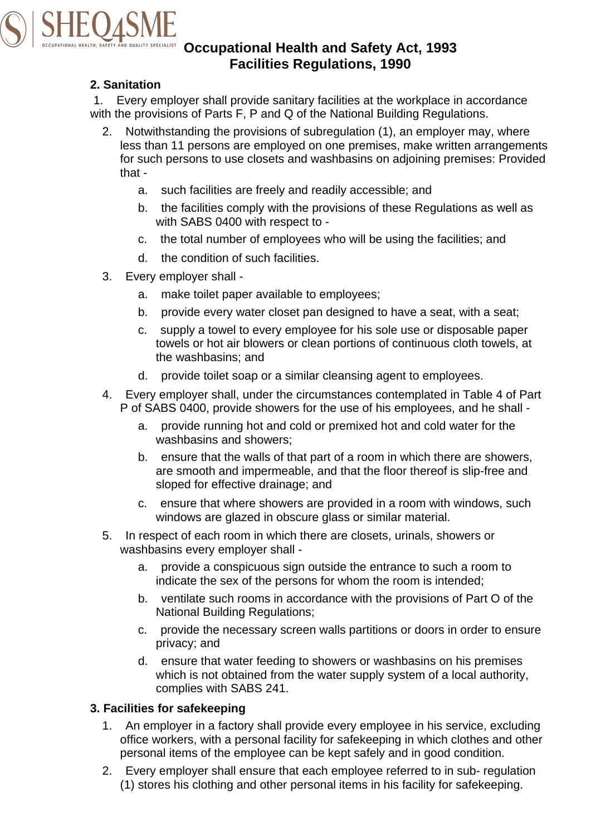

# **Occupational Health and Safety Act, 1993 Facilities Regulations, 1990**

## **2. Sanitation**

1. Every employer shall provide sanitary facilities at the workplace in accordance with the provisions of Parts F, P and Q of the National Building Regulations.

- 2. Notwithstanding the provisions of subregulation (1), an employer may, where less than 11 persons are employed on one premises, make written arrangements for such persons to use closets and washbasins on adjoining premises: Provided that
	- a. such facilities are freely and readily accessible; and
	- b. the facilities comply with the provisions of these Regulations as well as with SABS 0400 with respect to -
	- c. the total number of employees who will be using the facilities; and
	- d. the condition of such facilities.
- 3. Every employer shall
	- a. make toilet paper available to employees;
	- b. provide every water closet pan designed to have a seat, with a seat;
	- c. supply a towel to every employee for his sole use or disposable paper towels or hot air blowers or clean portions of continuous cloth towels, at the washbasins; and
	- d. provide toilet soap or a similar cleansing agent to employees.
- 4. Every employer shall, under the circumstances contemplated in Table 4 of Part P of SABS 0400, provide showers for the use of his employees, and he shall
	- a. provide running hot and cold or premixed hot and cold water for the washbasins and showers;
	- b. ensure that the walls of that part of a room in which there are showers, are smooth and impermeable, and that the floor thereof is slip-free and sloped for effective drainage; and
	- c. ensure that where showers are provided in a room with windows, such windows are glazed in obscure glass or similar material.
- 5. In respect of each room in which there are closets, urinals, showers or washbasins every employer shall
	- a. provide a conspicuous sign outside the entrance to such a room to indicate the sex of the persons for whom the room is intended;
	- b. ventilate such rooms in accordance with the provisions of Part O of the National Building Regulations;
	- c. provide the necessary screen walls partitions or doors in order to ensure privacy; and
	- d. ensure that water feeding to showers or washbasins on his premises which is not obtained from the water supply system of a local authority, complies with SABS 241.

#### **3. Facilities for safekeeping**

- 1. An employer in a factory shall provide every employee in his service, excluding office workers, with a personal facility for safekeeping in which clothes and other personal items of the employee can be kept safely and in good condition.
- 2. Every employer shall ensure that each employee referred to in sub- regulation (1) stores his clothing and other personal items in his facility for safekeeping.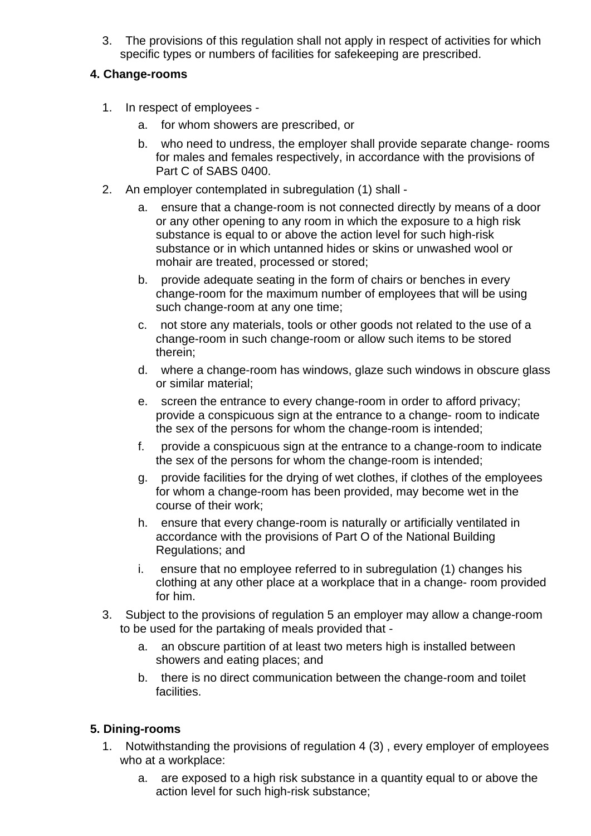3. The provisions of this regulation shall not apply in respect of activities for which specific types or numbers of facilities for safekeeping are prescribed.

## **4. Change-rooms**

- 1. In respect of employees
	- a. for whom showers are prescribed, or
	- b. who need to undress, the employer shall provide separate change- rooms for males and females respectively, in accordance with the provisions of Part C of SABS 0400.
- 2. An employer contemplated in subregulation (1) shall
	- a. ensure that a change-room is not connected directly by means of a door or any other opening to any room in which the exposure to a high risk substance is equal to or above the action level for such high-risk substance or in which untanned hides or skins or unwashed wool or mohair are treated, processed or stored;
	- b. provide adequate seating in the form of chairs or benches in every change-room for the maximum number of employees that will be using such change-room at any one time;
	- c. not store any materials, tools or other goods not related to the use of a change-room in such change-room or allow such items to be stored therein;
	- d. where a change-room has windows, glaze such windows in obscure glass or similar material;
	- e. screen the entrance to every change-room in order to afford privacy; provide a conspicuous sign at the entrance to a change- room to indicate the sex of the persons for whom the change-room is intended;
	- f. provide a conspicuous sign at the entrance to a change-room to indicate the sex of the persons for whom the change-room is intended;
	- g. provide facilities for the drying of wet clothes, if clothes of the employees for whom a change-room has been provided, may become wet in the course of their work;
	- h. ensure that every change-room is naturally or artificially ventilated in accordance with the provisions of Part O of the National Building Regulations; and
	- i. ensure that no employee referred to in subregulation (1) changes his clothing at any other place at a workplace that in a change- room provided for him.
- 3. Subject to the provisions of regulation 5 an employer may allow a change-room to be used for the partaking of meals provided that
	- a. an obscure partition of at least two meters high is installed between showers and eating places; and
	- b. there is no direct communication between the change-room and toilet facilities.

# **5. Dining-rooms**

- 1. Notwithstanding the provisions of regulation 4 (3) , every employer of employees who at a workplace:
	- a. are exposed to a high risk substance in a quantity equal to or above the action level for such high-risk substance;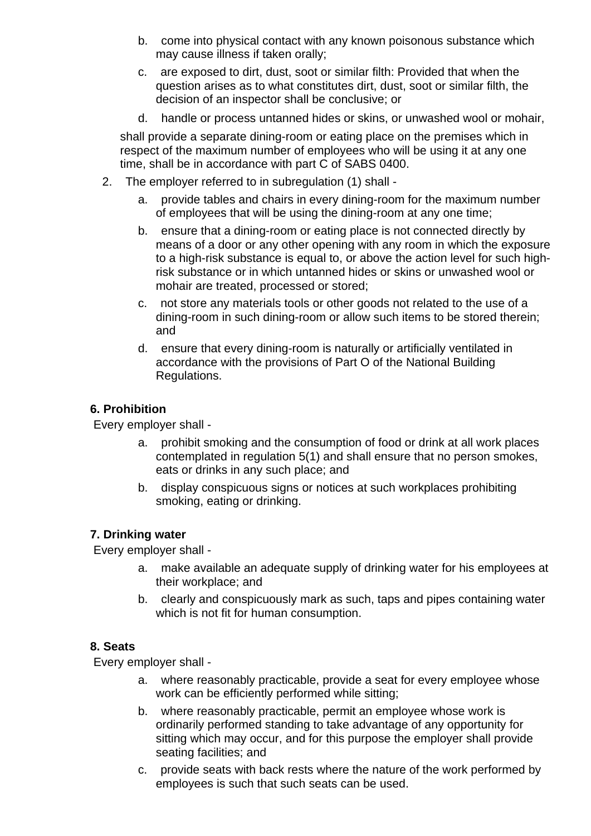- b. come into physical contact with any known poisonous substance which may cause illness if taken orally;
- c. are exposed to dirt, dust, soot or similar filth: Provided that when the question arises as to what constitutes dirt, dust, soot or similar filth, the decision of an inspector shall be conclusive; or
- d. handle or process untanned hides or skins, or unwashed wool or mohair,

shall provide a separate dining-room or eating place on the premises which in respect of the maximum number of employees who will be using it at any one time, shall be in accordance with part C of SABS 0400.

- 2. The employer referred to in subregulation (1) shall
	- a. provide tables and chairs in every dining-room for the maximum number of employees that will be using the dining-room at any one time;
	- b. ensure that a dining-room or eating place is not connected directly by means of a door or any other opening with any room in which the exposure to a high-risk substance is equal to, or above the action level for such highrisk substance or in which untanned hides or skins or unwashed wool or mohair are treated, processed or stored;
	- c. not store any materials tools or other goods not related to the use of a dining-room in such dining-room or allow such items to be stored therein; and
	- d. ensure that every dining-room is naturally or artificially ventilated in accordance with the provisions of Part O of the National Building Regulations.

## **6. Prohibition**

Every employer shall -

- a. prohibit smoking and the consumption of food or drink at all work places contemplated in regulation 5(1) and shall ensure that no person smokes, eats or drinks in any such place; and
- b. display conspicuous signs or notices at such workplaces prohibiting smoking, eating or drinking.

## **7. Drinking water**

Every employer shall -

- a. make available an adequate supply of drinking water for his employees at their workplace; and
- b. clearly and conspicuously mark as such, taps and pipes containing water which is not fit for human consumption.

#### **8. Seats**

Every employer shall -

- a. where reasonably practicable, provide a seat for every employee whose work can be efficiently performed while sitting;
- b. where reasonably practicable, permit an employee whose work is ordinarily performed standing to take advantage of any opportunity for sitting which may occur, and for this purpose the employer shall provide seating facilities; and
- c. provide seats with back rests where the nature of the work performed by employees is such that such seats can be used.